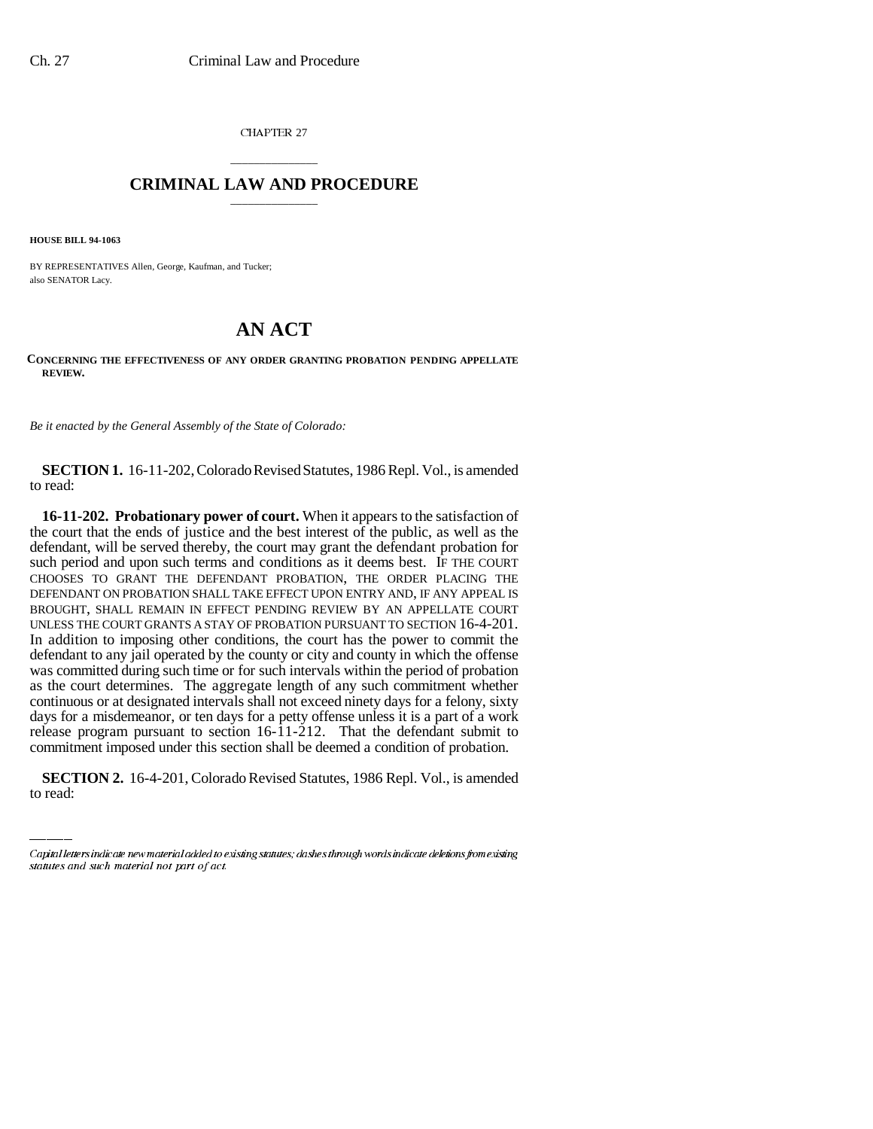CHAPTER 27

## \_\_\_\_\_\_\_\_\_\_\_\_\_\_\_ **CRIMINAL LAW AND PROCEDURE** \_\_\_\_\_\_\_\_\_\_\_\_\_\_\_

**HOUSE BILL 94-1063**

BY REPRESENTATIVES Allen, George, Kaufman, and Tucker; also SENATOR Lacy.

## **AN ACT**

**CONCERNING THE EFFECTIVENESS OF ANY ORDER GRANTING PROBATION PENDING APPELLATE REVIEW.**

*Be it enacted by the General Assembly of the State of Colorado:*

**SECTION 1.** 16-11-202, Colorado Revised Statutes, 1986 Repl. Vol., is amended to read:

release program pursuant to section 16-11-212. That the defendant submit to **16-11-202. Probationary power of court.** When it appears to the satisfaction of the court that the ends of justice and the best interest of the public, as well as the defendant, will be served thereby, the court may grant the defendant probation for such period and upon such terms and conditions as it deems best. IF THE COURT CHOOSES TO GRANT THE DEFENDANT PROBATION, THE ORDER PLACING THE DEFENDANT ON PROBATION SHALL TAKE EFFECT UPON ENTRY AND, IF ANY APPEAL IS BROUGHT, SHALL REMAIN IN EFFECT PENDING REVIEW BY AN APPELLATE COURT UNLESS THE COURT GRANTS A STAY OF PROBATION PURSUANT TO SECTION 16-4-201. In addition to imposing other conditions, the court has the power to commit the defendant to any jail operated by the county or city and county in which the offense was committed during such time or for such intervals within the period of probation as the court determines. The aggregate length of any such commitment whether continuous or at designated intervals shall not exceed ninety days for a felony, sixty days for a misdemeanor, or ten days for a petty offense unless it is a part of a work commitment imposed under this section shall be deemed a condition of probation.

**SECTION 2.** 16-4-201, Colorado Revised Statutes, 1986 Repl. Vol., is amended to read:

Capital letters indicate new material added to existing statutes; dashes through words indicate deletions from existing statutes and such material not part of act.